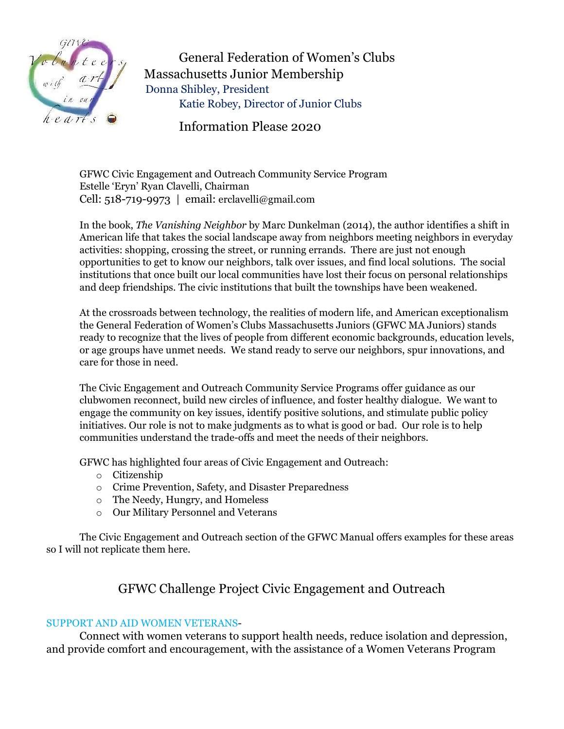

General Federation of Women's Clubs Massachusetts Junior Membership Donna Shible\, President Katie Robey, Director of Junior Clubs

Information Please 2020

GFWC Civic Engagement and Outreach Community Service Program Estelle 'Eryn' Ryan Clavelli, Chairman Cell: 518-719-9973  $\mid$  email: erclavelli@gmail.com

In the book, *The Vanishing Neighbor* by Marc Dunkelman (2014), the author identifies a shift in American life that takes the social landscape away from neighbors meeting neighbors in everyday activities: shopping, crossing the street, or running errands. There are just not enough opportunities to get to know our neighbors, talk over issues, and find local solutions. The social institutions that once built our local communities have lost their focus on personal relationships and deep friendships. The civic institutions that built the townships have been weakened.

At the crossroads between technology, the realities of modern life, and American exceptionalism the General Federation of Women's Clubs Massachusetts Juniors (GFWC MA Juniors) stands ready to recognize that the lives of people from different economic backgrounds, education levels, or age groups have unmet needs. We stand ready to serve our neighbors, spur innovations, and care for those in need.

The Civic Engagement and Outreach Community Service Programs offer guidance as our clubwomen reconnect, build new circles of influence, and foster healthy dialogue. We want to engage the community on key issues, identify positive solutions, and stimulate public policy initiatives. Our role is not to make judgments as to what is good or bad. Our role is to help communities understand the trade-offs and meet the needs of their neighbors.

GFWC has highlighted four areas of Civic Engagement and Outreach:

- $\circ$  Citizenship
- o Crime Prevention, Safety, and Disaster Preparedness
- $\circ$  The Needy, Hungry, and Homeless
- o Our Military Personnel and Veterans

The Civic Engagement and Outreach section of the GFWC Manual offers examples for these areas so I will not replicate them here.

## GFWC Challenge Project Civic Engagement and Outreach

## SUPPORT AND AID WOMEN VETERANS-

Connect with women veterans to support health needs, reduce isolation and depression, and provide comfort and encouragement, with the assistance of a Women Veterans Program